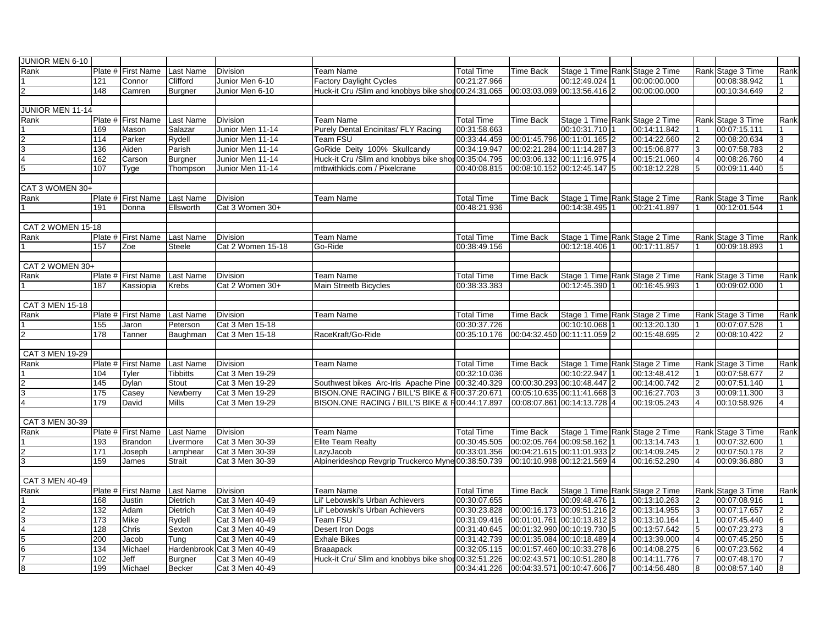| JUNIOR MEN 6-10          |         |                    |                  |                   |                                                      |                                             |                  |                                |              |                |                   |                |
|--------------------------|---------|--------------------|------------------|-------------------|------------------------------------------------------|---------------------------------------------|------------------|--------------------------------|--------------|----------------|-------------------|----------------|
| Rank                     |         | Plate # First Name | Last Name        | <b>Division</b>   | Team Name                                            | <b>Total Time</b>                           | Time Back        | Stage 1 Time Rank Stage 2 Time |              |                | Rank Stage 3 Time | Rank           |
|                          | 121     | Connor             | Clifford         | Junior Men 6-10   | <b>Factory Daylight Cycles</b>                       | 00:21:27.966                                |                  | 00:12:49.024 1                 | 00:00:00.000 |                | 00:08:38.942      |                |
| $\overline{2}$           | 148     | Camren             | <b>Burgner</b>   | Junior Men 6-10   | Huck-it Cru /Slim and knobbys bike shop 00:24:31.065 |                                             |                  | 00:03:03.099 00:13:56.416 2    | 00:00:00.000 |                | 00:10:34.649      | $\overline{2}$ |
|                          |         |                    |                  |                   |                                                      |                                             |                  |                                |              |                |                   |                |
| JUNIOR MEN 11-14         |         |                    |                  |                   |                                                      |                                             |                  |                                |              |                |                   |                |
| Rank                     | Plate # | <b>First Name</b>  | Last Name        | Division          | Team Name                                            | <b>Total Time</b>                           | <b>Time Back</b> | Stage 1 Time Rank Stage 2 Time |              |                | Rank Stage 3 Time | Rank           |
|                          | 169     | Mason              | Salazar          | Junior Men 11-14  | Purely Dental Encinitas/ FLY Racing                  | 00:31:58.663                                |                  | 00:10:31.710 1                 | 00:14:11.842 |                | 00:07:15.111      |                |
|                          | 114     | Parker             | Rydell           | Junior Men 11-14  | Team FSU                                             | 00:33:44.459                                |                  | 00:01:45.796 00:11:01.165 2    | 00:14:22.660 |                | 00:08:20.634      | 3              |
| 3                        | 136     | Aiden              | Parish           | Junior Men 11-14  | GoRide Deity 100% Skullcandy                         | 00:34:19.947                                |                  | 00:02:21.284 00:11:14.287 3    | 00:15:06.877 | 3              | 00:07:58.783      | $\overline{2}$ |
| 4                        | 162     | Carson             | <b>Burgner</b>   | Junior Men 11-14  | Huck-it Cru /Slim and knobbys bike shot 00:35:04.795 |                                             |                  | 00:03:06.132 00:11:16.975 4    | 00:15:21.060 | 4              | 00:08:26.760      | $\overline{a}$ |
|                          | 107     | Tyge               | Thompson         | Junior Men 11-14  | mtbwithkids.com / Pixelcrane                         | 00:40:08.815                                |                  | 00:08:10.152 00:12:45.147 5    | 00:18:12.228 | 5              | 00:09:11.440      | 5              |
|                          |         |                    |                  |                   |                                                      |                                             |                  |                                |              |                |                   |                |
| CAT 3 WOMEN 30+          |         |                    |                  |                   |                                                      |                                             |                  |                                |              |                |                   |                |
| Rank                     |         | Plate # First Name | Last Name        | <b>Division</b>   | Team Name                                            | <b>Total Time</b>                           | Time Back        | Stage 1 Time Rank Stage 2 Time |              |                | Rank Stage 3 Time | Rank           |
|                          | 191     | Donna              | Ellsworth        | Cat 3 Women 30+   |                                                      | 00:48:21.936                                |                  | 00:14:38.495 1                 | 00:21:41.897 |                | 00:12:01.544      |                |
|                          |         |                    |                  |                   |                                                      |                                             |                  |                                |              |                |                   |                |
| <b>CAT 2 WOMEN 15-18</b> |         |                    |                  |                   |                                                      |                                             |                  |                                |              |                |                   |                |
| Rank                     |         | Plate # First Name | <b>Last Name</b> | Division          | Team Name                                            | <b>Total Time</b>                           | Time Back        | Stage 1 Time Rank Stage 2 Time |              |                | Rank Stage 3 Time | Rank           |
|                          | 157     | Zoe                | <b>Steele</b>    | Cat 2 Women 15-18 | Go-Ride                                              | 00:38:49.156                                |                  | 00:12:18.406 1                 | 00:17:11.857 |                | 00:09:18.893      |                |
|                          |         |                    |                  |                   |                                                      |                                             |                  |                                |              |                |                   |                |
| CAT 2 WOMEN 30+          |         |                    |                  |                   |                                                      |                                             |                  |                                |              |                |                   |                |
| Rank                     |         | Plate # First Name | Last Name        | Division          | Team Name                                            | <b>Total Time</b>                           | <b>Time Back</b> | Stage 1 Time Rank Stage 2 Time |              |                | Rank Stage 3 Time | Rank           |
|                          | 187     | Kassiopia          | <b>Krebs</b>     | Cat 2 Women 30+   | <b>Main Streetb Bicycles</b>                         | 00:38:33.383                                |                  | 00:12:45.390 1                 | 00:16:45.993 |                | 00:09:02.000      |                |
|                          |         |                    |                  |                   |                                                      |                                             |                  |                                |              |                |                   |                |
| CAT 3 MEN 15-18          |         |                    |                  |                   |                                                      |                                             |                  |                                |              |                |                   |                |
| Rank                     |         | Plate # First Name | Last Name        | Division          | Team Name                                            | <b>Total Time</b>                           | Time Back        | Stage 1 Time Rank Stage 2 Time |              |                | Rank Stage 3 Time | Rank           |
|                          | 155     | Jaron              | Peterson         | Cat 3 Men 15-18   |                                                      | 00:30:37.726                                |                  | 00:10:10.068 1                 | 00:13:20.130 |                | 00:07:07.528      |                |
| $\overline{2}$           | 178     | Tanner             | Baughman         | Cat 3 Men 15-18   | RaceKraft/Go-Ride                                    | 00:35:10.176  00:04:32.450  00:11:11.059  2 |                  |                                | 00:15:48.695 | $\overline{2}$ | 00:08:10.422      | $\mathfrak{p}$ |
|                          |         |                    |                  |                   |                                                      |                                             |                  |                                |              |                |                   |                |
| CAT 3 MEN 19-29          |         |                    |                  |                   |                                                      |                                             |                  |                                |              |                |                   |                |
| Rank                     |         | Plate # First Name | Last Name        | Division          | Team Name                                            | <b>Total Time</b>                           | Time Back        | Stage 1 Time Rank Stage 2 Time |              |                | Rank Stage 3 Time | Rank           |
|                          | 104     | Tyler              | <b>Tibbitts</b>  | Cat 3 Men 19-29   |                                                      | 00:32:10.036                                |                  | 00:10:22.947 1                 | 00:13:48.412 |                | 00:07:58.677      | 2              |
| っ                        | 145     | Dylan              | <b>Stout</b>     | Cat 3 Men 19-29   | Southwest bikes Arc-Iris Apache Pine 00:32:40.329    |                                             |                  | 00:00:30.293 00:10:48.447 2    | 00:14:00.742 | $\overline{2}$ | 00:07:51.140      |                |
| 3                        | 175     | Casey              | Newberry         | Cat 3 Men 19-29   | BISON.ONE RACING / BILL'S BIKE & R00:37:20.671       |                                             |                  | 00:05:10.635 00:11:41.668 3    | 00:16:27.703 | 3              | 00:09:11.300      | 3              |
| 4                        | 179     | David              | <b>Mills</b>     | Cat 3 Men 19-29   | BISON.ONE RACING / BILL'S BIKE & R00:44:17.897       |                                             |                  | 00:08:07.861 00:14:13.728 4    | 00:19:05.243 | 4              | 00:10:58.926      | 4              |
|                          |         |                    |                  |                   |                                                      |                                             |                  |                                |              |                |                   |                |
| CAT 3 MEN 30-39          |         |                    |                  |                   |                                                      |                                             |                  |                                |              |                |                   |                |
| Rank                     |         | Plate # First Name | Last Name        | Division          | Team Name                                            | <b>Total Time</b>                           | Time Back        | Stage 1 Time Rank Stage 2 Time |              |                | Rank Stage 3 Time | Rank           |
|                          | 193     | <b>Brandon</b>     | Livermore        | Cat 3 Men 30-39   | <b>Elite Team Realty</b>                             | 00:30:45.505                                |                  | 00:02:05.764 00:09:58.162 1    | 00:13:14.743 |                | 00:07:32.600      |                |
| 2                        | 171     | Joseph             | Lamphear         | Cat 3 Men 30-39   | _azyJacob                                            | 00:33:01.356                                |                  | 00:04:21.615 00:11:01.933 2    | 00:14:09.245 | 2              | 00:07:50.178      | 2              |
| 3                        | 159     | James              | <b>Strait</b>    | Cat 3 Men 30-39   | Alpinerideshop Revgrip Truckerco Myne 00:38:50.739   |                                             |                  | 00:10:10.998 00:12:21.569 4    | 00:16:52.290 | $\overline{4}$ | 00:09:36.880      | 3              |
|                          |         |                    |                  |                   |                                                      |                                             |                  |                                |              |                |                   |                |
| CAT 3 MEN 40-49          |         |                    |                  |                   |                                                      |                                             |                  |                                |              |                |                   |                |
| Rank                     |         | Plate # First Name | <b>Last Name</b> | Division          | Team Name                                            | <b>Total Time</b>                           | <b>Time Back</b> | Stage 1 Time Rank Stage 2 Time |              |                | Rank Stage 3 Time | Rank           |
|                          | 168     | Justin             | <b>Dietrich</b>  | Cat 3 Men 40-49   | Lil' Lebowski's Urban Achievers                      | 00:30:07.655                                |                  | 00:09:48.476 1                 | 00:13:10.263 |                | 00:07:08.916      |                |
|                          | 132     | Adam               | <b>Dietrich</b>  | Cat 3 Men 40-49   | Lil' Lebowski's Urban Achievers                      | 00:30:23.828                                |                  | 00:00:16.173 00:09:51.216 2    | 00:13:14.955 | 3              | 00:07:17.657      | $\overline{2}$ |
| 3                        | 173     | Mike               | Rydell           | Cat 3 Men 40-49   | Team FSU                                             | 00:31:09.416                                |                  | 00:01:01.761 00:10:13.812 3    | 00:13:10.164 |                | 00:07:45.440      | 6              |
|                          | 128     | Chris              | Sexton           | Cat 3 Men 40-49   | Desert Iron Dogs                                     | 00:31:40.645                                |                  | 00:01:32.990 00:10:19.730 5    | 00:13:57.642 | 5              | 00:07:23.273      | 3              |
|                          | 200     | Jacob              | Tung             | Cat 3 Men 40-49   | <b>Exhale Bikes</b>                                  | 00:31:42.739                                |                  | 00:01:35.084 00:10:18.489 4    | 00:13:39.000 |                | 00:07:45.250      | 5              |
|                          | 134     | Michael            | Hardenbrool      | Cat 3 Men 40-49   | <b>Braaapack</b>                                     | 00:32:05.115                                |                  | 00:01:57.460 00:10:33.278 6    | 00:14:08.275 |                | 00:07:23.562      | $\overline{4}$ |
|                          | 102     | Jeff               | <b>Burgner</b>   | Cat 3 Men 40-49   | Huck-it Cru/ Slim and knobbys bike shop 00:32:51.226 |                                             |                  | 00:02:43.571 00:10:51.280 8    | 00:14:11.776 |                | 00:07:48.170      | $\overline{7}$ |
| 8                        | 199     | Michael            | <b>Becker</b>    | Cat 3 Men 40-49   |                                                      | 00:34:41.226                                |                  | 00:04:33.571 00:10:47.606 7    | 00:14:56.480 | 8              | 00:08:57.140      | 8              |
|                          |         |                    |                  |                   |                                                      |                                             |                  |                                |              |                |                   |                |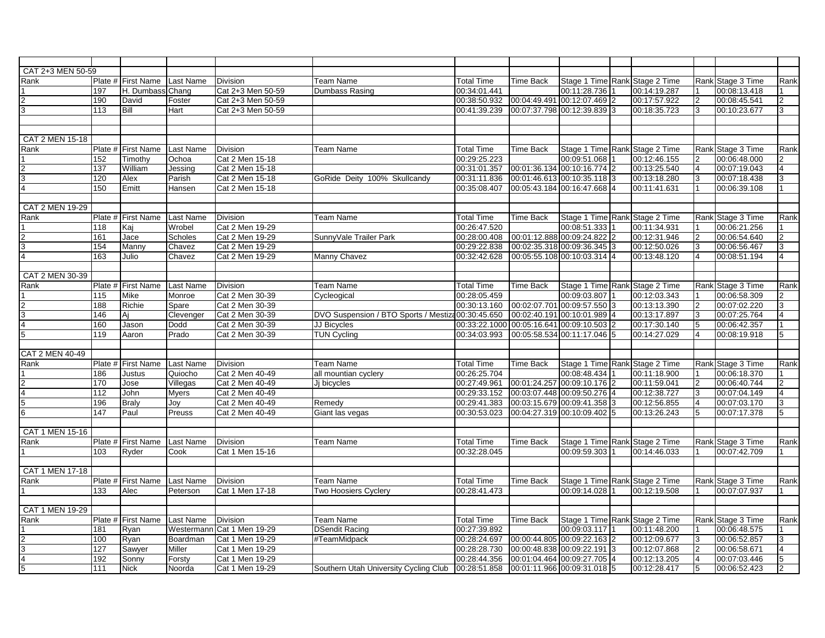| CAT 2+3 MEN 50-59 |     |                              |                  |                            |                                                    |                                           |           |                                |              |                |                   |                |
|-------------------|-----|------------------------------|------------------|----------------------------|----------------------------------------------------|-------------------------------------------|-----------|--------------------------------|--------------|----------------|-------------------|----------------|
| Rank              |     | Plate # First Name Last Name |                  | Division                   | Team Name                                          | <b>Total Time</b>                         | Time Back | Stage 1 Time Rank Stage 2 Time |              |                | Rank Stage 3 Time | Rank           |
|                   | 197 | H. Dumbass Chang             |                  | Cat 2+3 Men 50-59          | <b>Dumbass Rasing</b>                              | 00:34:01.441                              |           | 00:11:28.736                   | 00:14:19.287 |                | 00:08:13.418      |                |
|                   | 190 | David                        | Foster           | Cat 2+3 Men 50-59          |                                                    | 00:38:50.932                              |           | 00:04:49.491 00:12:07.469 2    | 00:17:57.922 |                | 00:08:45.541      | $\overline{2}$ |
| 3                 | 113 | Bill                         | Hart             | Cat 2+3 Men 50-59          |                                                    | 00:41:39.239                              |           | 00:07:37.798 00:12:39.839 3    | 00:18:35.723 | 3              | 00:10:23.677      | 3              |
|                   |     |                              |                  |                            |                                                    |                                           |           |                                |              |                |                   |                |
|                   |     |                              |                  |                            |                                                    |                                           |           |                                |              |                |                   |                |
| CAT 2 MEN 15-18   |     |                              |                  |                            |                                                    |                                           |           |                                |              |                |                   |                |
| Rank              |     | Plate # First Name Last Name |                  | Division                   | Team Name                                          | <b>Total Time</b>                         | Time Back | Stage 1 Time Rank Stage 2 Time |              |                | Rank Stage 3 Time | Rank           |
|                   | 152 | Timothy                      | Ochoa            | Cat 2 Men 15-18            |                                                    | 00:29:25.223                              |           | 00:09:51.068                   | 00:12:46.155 | $\overline{2}$ | 00:06:48.000      | $\overline{2}$ |
|                   | 137 | William                      | Jessing          | Cat 2 Men 15-18            |                                                    | 00:31:01.357                              |           | 00:01:36.134 00:10:16.774 2    | 00:13:25.540 | $\overline{4}$ | 00:07:19.043      | 4              |
| 3                 | 120 | Alex                         | Parish           | Cat 2 Men 15-18            | GoRide Deity 100% Skullcandy                       | 00:31:11.836                              |           | 00:01:46.613 00:10:35.118 3    | 00:13:18.280 | Ι3             | 00:07:18.438      | 3              |
| $\overline{4}$    | 150 | Emitt                        | Hansen           | Cat 2 Men 15-18            |                                                    | 00:35:08.407                              |           | 00:05:43.184 00:16:47.668 4    | 00:11:41.631 |                | 00:06:39.108      |                |
|                   |     |                              |                  |                            |                                                    |                                           |           |                                |              |                |                   |                |
| CAT 2 MEN 19-29   |     |                              |                  |                            |                                                    |                                           |           |                                |              |                |                   |                |
| Rank              |     | Plate # First Name           | <b>Last Name</b> | Division                   | Team Name                                          | <b>Total Time</b>                         | Time Back | Stage 1 Time Rank Stage 2 Time |              |                | Rank Stage 3 Time | Rank           |
|                   | 118 | Kaj                          | Wrobel           | Cat 2 Men 19-29            |                                                    | 00:26:47.520                              |           | 00:08:51.333                   | 00:11:34.931 |                | 00:06:21.256      |                |
| $\overline{2}$    | 161 | Jace                         | Scholes          | Cat 2 Men 19-29            | SunnyVale Trailer Park                             | 00:28:00.408                              |           | 00:01:12.888 00:09:24.822 2    | 00:12:31.946 | $\overline{2}$ | 00:06:54.640      | 2              |
| 3                 | 154 | Manny                        | Chavez           | Cat 2 Men 19-29            |                                                    | 00:29:22.838                              |           | 00:02:35.318 00:09:36.345 3    | 00:12:50.026 | 3              | 00:06:56.467      | 3              |
| $\overline{4}$    | 163 | Julio                        | Chavez           | Cat 2 Men 19-29            | Manny Chavez                                       | 00:32:42.628                              |           | 00:05:55.108 00:10:03.314 4    | 00:13:48.120 | $\overline{4}$ | 00:08:51.194      | 4              |
|                   |     |                              |                  |                            |                                                    |                                           |           |                                |              |                |                   |                |
| CAT 2 MEN 30-39   |     |                              |                  |                            |                                                    |                                           |           |                                |              |                |                   |                |
| Rank              |     | Plate # First Name           | <b>Last Name</b> | Division                   | Team Name                                          | <b>Total Time</b>                         | Time Back | Stage 1 Time Rank Stage 2 Time |              |                | Rank Stage 3 Time | Rank           |
|                   | 115 | Mike                         | Monroe           | Cat 2 Men 30-39            | Cycleogical                                        | 00:28:05.459                              |           | 00:09:03.807                   | 00:12:03.343 |                | 00:06:58.309      | 2              |
|                   | 188 | Richie                       | Spare            | Cat 2 Men 30-39            |                                                    | 00:30:13.160                              |           | 00:02:07.701 00:09:57.550 3    | 00:13:13.390 | 2              | 00:07:02.220      | 3              |
| $\overline{3}$    | 146 | Aj                           | Clevenger        | Cat 2 Men 30-39            | DVO Suspension / BTO Sports / Mestiza 00:30:45.650 |                                           |           | 00:02:40.191 00:10:01.989 4    | 00:13:17.897 | 3              | 00:07:25.764      |                |
| 4                 | 160 | Jason                        | Dodd             | Cat 2 Men 30-39            | JJ Bicycles                                        | 00:33:22.1000 00:05:16.641 00:09:10.503 2 |           |                                | 00:17:30.140 | 5              | 00:06:42.357      |                |
| 5                 | 119 | Aaron                        | Prado            | Cat 2 Men 30-39            | <b>TUN Cycling</b>                                 | 00:34:03.993                              |           | 00:05:58.534 00:11:17.046 5    | 00:14:27.029 | $\overline{4}$ | 00:08:19.918      | 5              |
|                   |     |                              |                  |                            |                                                    |                                           |           |                                |              |                |                   |                |
| CAT 2 MEN 40-49   |     |                              |                  |                            |                                                    |                                           |           |                                |              |                |                   |                |
| Rank              |     | Plate # First Name           | Last Name        | <b>Division</b>            | Team Name                                          | <b>Total Time</b>                         | Time Back | Stage 1 Time Rank Stage 2 Time |              |                | Rank Stage 3 Time | Rank           |
|                   | 186 | Justus                       | Quiocho          | Cat 2 Men 40-49            | all mountian cyclery                               | 00:26:25.704                              |           | 00:08:48.434                   | 00:11:18.900 |                | 00:06:18.370      |                |
|                   | 170 | Jose                         | Villegas         | Cat 2 Men 40-49            | Jj bicycles                                        | 00:27:49.961                              |           | 00:01:24.257 00:09:10.176 2    | 00:11:59.041 | $\overline{2}$ | 00:06:40.744      | $\overline{2}$ |
| 4                 | 112 | John                         | <b>Myers</b>     | Cat 2 Men 40-49            |                                                    | 00:29:33.152                              |           | 00:03:07.448 00:09:50.276 4    | 00:12:38.727 | Ι3             | 00:07:04.149      | 4              |
| 5                 | 196 | <b>Braly</b>                 | Joy              | Cat 2 Men 40-49            | Remedy                                             | 00:29:41.383                              |           | 00:03:15.679 00:09:41.358 3    | 00:12:56.855 | $\overline{4}$ | 00:07:03.170      | 3              |
| 6                 | 147 | Paul                         | Preuss           | Cat 2 Men 40-49            | Giant las vegas                                    | 00:30:53.023                              |           | 00:04:27.319 00:10:09.402 5    | 00:13:26.243 | 5              | 00:07:17.378      | 5              |
|                   |     |                              |                  |                            |                                                    |                                           |           |                                |              |                |                   |                |
| CAT 1 MEN 15-16   |     |                              |                  |                            |                                                    |                                           |           |                                |              |                |                   |                |
| Rank              |     | Plate # First Name           | Last Name        | Division                   | Team Name                                          | <b>Total Time</b>                         | Time Back | Stage 1 Time Rank Stage 2 Time |              |                | Rank Stage 3 Time | Rank           |
|                   | 103 | Ryder                        | Cook             | Cat 1 Men 15-16            |                                                    | 00:32:28.045                              |           | 00:09:59.303                   | 00:14:46.033 |                | 00:07:42.709      |                |
|                   |     |                              |                  |                            |                                                    |                                           |           |                                |              |                |                   |                |
| CAT 1 MEN 17-18   |     |                              |                  |                            |                                                    |                                           |           |                                |              |                |                   |                |
| Rank              |     | Plate # First Name           | Last Name        | Division                   | Team Name                                          | <b>Total Time</b>                         | Time Back | Stage 1 Time Rank Stage 2 Time |              |                | Rank Stage 3 Time | Rank           |
|                   | 133 | Alec                         | Peterson         | Cat 1 Men 17-18            | Two Hoosiers Cyclery                               | 00:28:41.473                              |           | 00:09:14.028                   | 00:12:19.508 |                | 00:07:07.937      |                |
|                   |     |                              |                  |                            |                                                    |                                           |           |                                |              |                |                   |                |
| CAT 1 MEN 19-29   |     |                              |                  |                            |                                                    |                                           |           |                                |              |                |                   |                |
| Rank              |     | Plate # First Name           | <b>Last Name</b> | Division                   | <b>Team Name</b>                                   | <b>Total Time</b>                         | Time Back | Stage 1 Time Rank Stage 2 Time |              |                | Rank Stage 3 Time | Rank           |
|                   | 181 | Ryan                         |                  | Westermann Cat 1 Men 19-29 | <b>DSendit Racing</b>                              | 00:27:39.892                              |           | 00:09:03.117                   | 00:11:48.200 |                | 00:06:48.575      |                |
|                   | 100 | Ryan                         | Boardman         | Cat 1 Men 19-29            | #TeamMidpack                                       | 00:28:24.697                              |           | 00:00:44.805 00:09:22.163 2    | 00:12:09.677 | 3              | 00:06:52.857      | 3              |
| $\overline{3}$    | 127 | Sawyer                       | Miller           | Cat 1 Men 19-29            |                                                    | 00:28:28.730                              |           | 00:00:48.838 00:09:22.191 3    | 00:12:07.868 |                | 00:06:58.671      | 4              |
| $\frac{4}{5}$     | 192 | Sonny                        | Forsty           | Cat 1 Men 19-29            |                                                    | 00:28:44.356                              |           | 00:01:04.464 00:09:27.705 4    | 00:12:13.205 | $\overline{4}$ | 00:07:03.446      | 5              |
|                   | 111 | <b>Nick</b>                  | Noorda           | Cat 1 Men 19-29            | Southern Utah University Cycling Club 00:28:51.858 |                                           |           | 00:01:11.966 00:09:31.018 5    | 00:12:28.417 | $\overline{5}$ | 00:06:52.423      | $\overline{2}$ |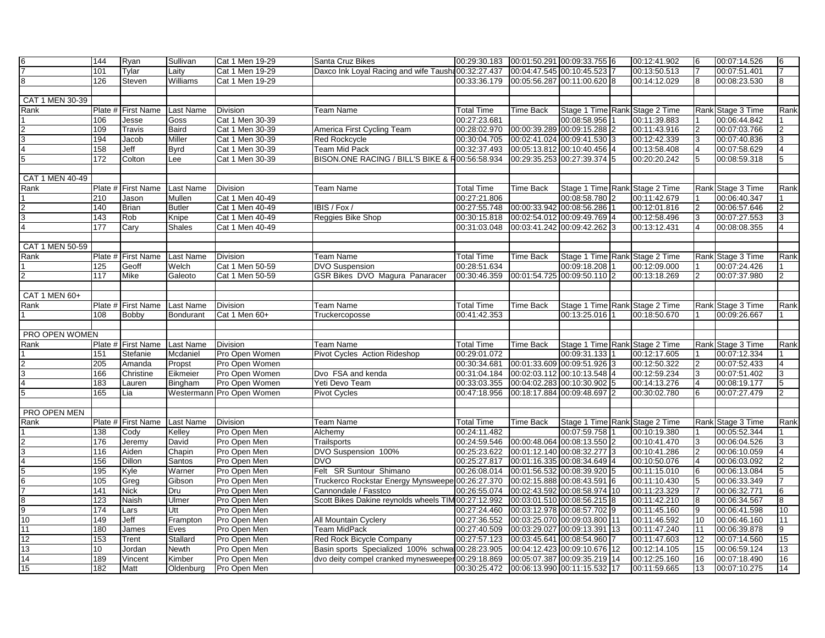| 6               | 144 | Ryan               | Sullivan        | Cat 1 Men 19-29 | Santa Cruz Bikes                                    |                                                       |           |                                | 00:12:41.902 | 6              | 00:07:14.526      | 6              |
|-----------------|-----|--------------------|-----------------|-----------------|-----------------------------------------------------|-------------------------------------------------------|-----------|--------------------------------|--------------|----------------|-------------------|----------------|
| $\overline{7}$  | 101 | Tylar              | Laity           | Cat 1 Men 19-29 | Daxco Ink Loyal Racing and wife Taush 00:32:27.437  |                                                       |           | 00:04:47.545 00:10:45.523 7    | 00:13:50.513 |                | 00:07:51.401      | $\overline{7}$ |
| 8               | 126 | Steven             | Williams        | Cat 1 Men 19-29 |                                                     | 00:33:36.179  00:05:56.287  00:11:00.620  8           |           |                                | 00:14:12.029 | 8              | 00:08:23.530      | 8              |
|                 |     |                    |                 |                 |                                                     |                                                       |           |                                |              |                |                   |                |
| CAT 1 MEN 30-39 |     |                    |                 |                 |                                                     |                                                       |           |                                |              |                |                   |                |
| Rank            |     | Plate # First Name | Last Name       | Division        | Team Name                                           | <b>Total Time</b>                                     | Time Back | Stage 1 Time Rank Stage 2 Time |              |                | Rank Stage 3 Time | Rank           |
|                 | 106 | Jesse              | Goss            | Cat 1 Men 30-39 |                                                     | 00:27:23.681                                          |           | 00:08:58.956 1                 | 00:11:39.883 |                | 00:06:44.842      |                |
| $\overline{2}$  | 109 | <b>Travis</b>      | Baird           | Cat 1 Men 30-39 | America First Cycling Team                          | 00:28:02.970                                          |           | 00:00:39.289 00:09:15.288 2    | 00:11:43.916 | $\overline{2}$ | 00:07:03.766      | 2              |
| 3               | 194 | Jacob              | Miller          | Cat 1 Men 30-39 | <b>Red Rockcycle</b>                                | 00:30:04.705                                          |           | 00:02:41.024 00:09:41.530 3    | 00:12:42.339 | 3              | 00:07:40.836      | 3              |
|                 | 158 | Jeff               | <b>Byrd</b>     | Cat 1 Men 30-39 | <b>Team Mid Pack</b>                                | 00:32:37.493                                          |           | 00:05:13.812 00:10:40.456 4    | 00:13:58.408 |                | 00:07:58.629      |                |
| 5               | 172 | Colton             | Lee             | Cat 1 Men 30-39 | BISON.ONE RACING / BILL'S BIKE & R00:56:58.934      |                                                       |           | 00:29:35.253 00:27:39.374 5    | 00:20:20.242 | 5              | 00:08:59.318      | 5              |
|                 |     |                    |                 |                 |                                                     |                                                       |           |                                |              |                |                   |                |
| CAT 1 MEN 40-49 |     |                    |                 |                 |                                                     |                                                       |           |                                |              |                |                   |                |
| Rank            |     | Plate # First Name | Last Name       | Division        | Team Name                                           | <b>Total Time</b>                                     | Time Back | Stage 1 Time Rank Stage 2 Time |              |                | Rank Stage 3 Time | Rank           |
|                 | 210 | Jason              | Mullen          | Cat 1 Men 40-49 |                                                     | 00:27:21.806                                          |           | 00:08:58.780 2                 | 00:11:42.679 |                | 00:06:40.347      |                |
|                 | 140 | <b>Brian</b>       | <b>Butler</b>   | Cat 1 Men 40-49 | IBIS / Fox /                                        | 00:27:55.748                                          |           | 00:00:33.942 00:08:56.286 1    | 00:12:01.816 |                | 00:06:57.646      | $\overline{2}$ |
|                 | 143 | Rob                | Knipe           | Cat 1 Men 40-49 | Reggies Bike Shop                                   | 00:30:15.818                                          |           | 00:02:54.012 00:09:49.769 4    | 00:12:58.496 | 3              | 00:07:27.553      | 3              |
| $\overline{4}$  | 177 |                    | <b>Shales</b>   | Cat 1 Men 40-49 |                                                     | 00:31:03.048                                          |           | 00:03:41.242 00:09:42.262 3    | 00:13:12.431 | 4              | 00:08:08.355      | $\overline{4}$ |
|                 |     | Cary               |                 |                 |                                                     |                                                       |           |                                |              |                |                   |                |
|                 |     |                    |                 |                 |                                                     |                                                       |           |                                |              |                |                   |                |
| CAT 1 MEN 50-59 |     |                    |                 |                 |                                                     |                                                       |           |                                |              |                |                   |                |
| Rank            |     | Plate # First Name | Last Name       | Division        | Team Name                                           | <b>Total Time</b>                                     | Time Back | Stage 1 Time Rank Stage 2 Time |              |                | Rank Stage 3 Time | Rank           |
|                 | 125 | Geoff              | Welch           | Cat 1 Men 50-59 | <b>DVO Suspension</b>                               | 00:28:51.634                                          |           | 00:09:18.208 1                 | 00:12:09.000 |                | 00:07:24.426      |                |
|                 | 117 | Mike               | Galeoto         | Cat 1 Men 50-59 | GSR Bikes DVO Magura Panaracer                      | $[00:30:46.359 \t 00:01:54.725 \t 00:09:50.110 \t 2]$ |           |                                | 00:13:18.269 | 2              | 00:07:37.980      | $\overline{2}$ |
|                 |     |                    |                 |                 |                                                     |                                                       |           |                                |              |                |                   |                |
| CAT 1 MEN 60+   |     |                    |                 |                 |                                                     |                                                       |           |                                |              |                |                   |                |
| Rank            |     | Plate # First Name | Last Name       | Division        | Team Name                                           | <b>Total Time</b>                                     | Time Back | Stage 1 Time Rank Stage 2 Time |              |                | Rank Stage 3 Time | Rank           |
|                 | 108 | Bobby              | Bondurant       | Cat 1 Men 60+   | Truckercoposse                                      | 00:41:42.353                                          |           | 00:13:25.016 1                 | 00:18:50.670 |                | 00:09:26.667      |                |
|                 |     |                    |                 |                 |                                                     |                                                       |           |                                |              |                |                   |                |
| PRO OPEN WOMEN  |     |                    |                 |                 |                                                     |                                                       |           |                                |              |                |                   |                |
| Rank            |     | Plate # First Name | Last Name       | Division        | <b>Team Name</b>                                    | <b>Total Time</b>                                     | Time Back | Stage 1 Time Rank Stage 2 Time |              |                | Rank Stage 3 Time | Rank           |
|                 | 151 | Stefanie           | Mcdaniel        | Pro Open Women  | Pivot Cycles Action Rideshop                        | 00:29:01.072                                          |           | 00:09:31.133 1                 | 00:12:17.605 |                | 00:07:12.334      |                |
|                 | 205 | Amanda             | Propst          | Pro Open Women  |                                                     | 00:30:34.681                                          |           | 00:01:33.609 00:09:51.926 3    | 00:12:50.322 |                | 00:07:52.433      |                |
| 3               | 166 | Christine          | Eikmeier        | Pro Open Women  | Dvo FSA and kenda                                   | 00:31:04.184                                          |           | 00:02:03.112 00:10:13.548 4    | 00:12:59.234 | 3              | 00:07:51.402      | 3              |
| $\overline{4}$  | 183 | Lauren             | Bingham         | Pro Open Women  | Yeti Devo Team                                      | 00:33:03.355                                          |           | 00:04:02.283 00:10:30.902 5    | 00:14:13.276 | 4              | 00:08:19.177      | 5              |
| 5               | 165 | Lia                | Westermann      | Pro Open Women  | <b>Pivot Cycles</b>                                 | 00:47:18.956                                          |           | 00:18:17.884 00:09:48.697 2    | 00:30:02.780 | 6              | 00:07:27.479      | $\overline{2}$ |
|                 |     |                    |                 |                 |                                                     |                                                       |           |                                |              |                |                   |                |
| PRO OPEN MEN    |     |                    |                 |                 |                                                     |                                                       |           |                                |              |                |                   |                |
| Rank            |     | Plate # First Name | Last Name       | <b>Division</b> | Team Name                                           | <b>Total Time</b>                                     | Time Back | Stage 1 Time Rank Stage 2 Time |              |                | Rank Stage 3 Time | Rank           |
|                 | 138 | Cody               | Kelley          | Pro Open Men    | Alchemy                                             | 00:24:11.482                                          |           | 00:07:59.758 1                 | 00:10:19.380 |                | 00:05:52.344      |                |
|                 | 176 | Jeremy             | David           | Pro Open Men    | Trailsports                                         | 00:24:59.546                                          |           | 00:00:48.064 00:08:13.550 2    | 00:10:41.470 | 3              | 00:06:04.526      | 3              |
| 3               | 116 | Aiden              | Chapin          | Pro Open Men    | DVO Suspension 100%                                 | $\overline{00:}25:23.622$                             |           | 00:01:12.140 00:08:32.277 3    | 00:10:41.286 | $\overline{2}$ | 00:06:10.059      | $\overline{a}$ |
| $\overline{4}$  | 156 | <b>Dillon</b>      | Santos          | Pro Open Men    | <b>DVO</b>                                          | 00:25:27.817                                          |           | 00:01:16.335 00:08:34.649 4    | 00:10:50.076 | 4              | 00:06:03.092      | $\overline{2}$ |
| 5               | 195 | Kyle               | Warner          | Pro Open Men    | Felt SR Suntour Shimano                             | 00:26:08.014  00:01:56.532  00:08:39.920  5           |           |                                | 00:11:15.010 | 6              | 00:06:13.084      | 5              |
| $\overline{6}$  | 105 | Greg               | Gibson          | Pro Open Men    | Truckerco Rockstar Energy Mynsweepe 00:26:27.370    |                                                       |           | 00:02:15.888 00:08:43.591 6    | 00:11:10.430 | 5              | 00:06:33.349      | $\overline{7}$ |
| $\overline{7}$  | 141 | <b>Nick</b>        | Dru             | Pro Open Men    | Cannondale / Fasstco                                | 00:26:55.074                                          |           | 00:02:43.592 00:08:58.974 10   | 00:11:23.329 |                | 00:06:32.771      | 6              |
| 8               | 123 | Naish              | Ulmer           | Pro Open Men    | Scott Bikes Dakine reynolds wheels TIM 00:27:12.992 |                                                       |           | 00:03:01.510 00:08:56.215 8    | 00:11:42.210 | 8              | 00:06:34.567      | 8              |
| 9               | 174 | Lars               | Utt             | Pro Open Men    |                                                     | 00:27:24.460                                          |           | 00:03:12.978 00:08:57.702 9    | 00:11:45.160 | 9              | 00:06:41.598      | 10             |
| 10              | 149 | Jeff               | Frampton        | Pro Open Men    | All Mountain Cyclery                                | 00:27:36.552                                          |           | 00:03:25.070 00:09:03.800 11   | 00:11:46.592 | 10             | 00:06:46.160      | 11             |
| 11              | 180 | James              | Eves            | Pro Open Men    | <b>Team MidPack</b>                                 | 00:27:40.509                                          |           | 00:03:29.027 00:09:13.391 13   | 00:11:47.240 | 11             | 00:06:39.878      | $\overline{9}$ |
| 12              | 153 | Trent              | <b>Stallard</b> | Pro Open Men    | Red Rock Bicycle Company                            | 00:27:57.123                                          |           | 00:03:45.641 00:08:54.960 7    | 00:11:47.603 | 12             | 00:07:14.560      | 15             |
| 13              | 10  | Jordan             | Newth           | Pro Open Men    | Basin sports Specialized 100% schwal00:28:23.905    |                                                       |           | 00:04:12.423 00:09:10.676 12   | 00:12:14.105 | 15             | 00:06:59.124      | 13             |
| 14              | 189 | Vincent            | Kimber          | Pro Open Men    | dvo deity compel cranked mynesweeper 00:29:18.869   |                                                       |           | 00:05:07.387 00:09:35.219 14   | 00:12:25.160 | 16             | 00:07:18.490      | 16             |
| 15              | 182 | Matt               | Oldenburg       | Pro Open Men    |                                                     | 00:30:25.472  00:06:13.990  00:11:15.532  17          |           |                                | 00:11:59.665 | 13             | 00:07:10.275      | 14             |
|                 |     |                    |                 |                 |                                                     |                                                       |           |                                |              |                |                   |                |